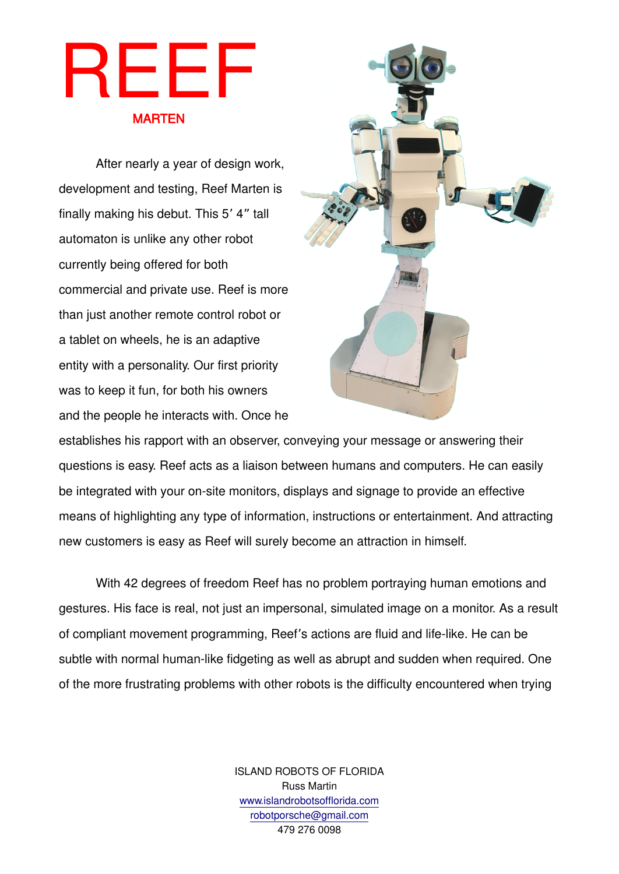## REEF MARTEN

After nearly a year of design work, development and testing, Reef Marten is finally making his debut. This  $5'$  4" tall automaton is unlike any other robot currently being offered for both commercial and private use. Reef is more than just another remote control robot or a tablet on wheels, he is an adaptive entity with a personality. Our first priority was to keep it fun, for both his owners and the people he interacts with. Once he



establishes his rapport with an observer, conveying your message or answering their questions is easy. Reef acts as a liaison between humans and computers. He can easily be integrated with your on-site monitors, displays and signage to provide an effective means of highlighting any type of information, instructions or entertainment. And attracting new customers is easy as Reef will surely become an attraction in himself.

With 42 degrees of freedom Reef has no problem portraying human emotions and gestures. His face is real, not just an impersonal, simulated image on a monitor. As a result of compliant movement programming, Reef's actions are fluid and life-like. He can be subtle with normal human-like fidgeting as well as abrupt and sudden when required. One of the more frustrating problems with other robots is the difficulty encountered when trying

> ISLAND ROBOTS OF FLORIDA Russ Martin [www.islandrobotsofflorida.com](http://www.islandrobotsofflorida.com/) [robotporsche@gmail.com](mailto:robotporsche@gmail.com) 479 276 0098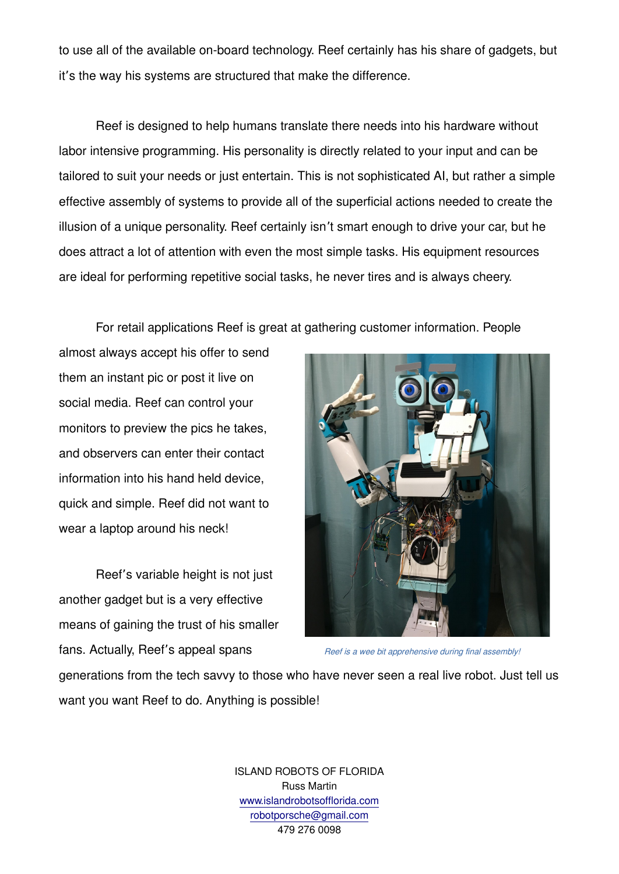to use all of the available on-board technology. Reef certainly has his share of gadgets, but it's the way his systems are structured that make the difference.

Reef is designed to help humans translate there needs into his hardware without labor intensive programming. His personality is directly related to your input and can be tailored to suit your needs or just entertain. This is not sophisticated AI, but rather a simple effective assembly of systems to provide all of the superficial actions needed to create the illusion of a unique personality. Reef certainly isn't smart enough to drive your car, but he does attract a lot of attention with even the most simple tasks. His equipment resources are ideal for performing repetitive social tasks, he never tires and is always cheery.

For retail applications Reef is great at gathering customer information. People

almost always accept his offer to send them an instant pic or post it live on social media. Reef can control your monitors to preview the pics he takes, and observers can enter their contact information into his hand held device, quick and simple. Reef did not want to wear a laptop around his neck!

Reef's variable height is not just another gadget but is a very effective means of gaining the trust of his smaller fans. Actually, Reef's appeal spans



Reef is a wee bit apprehensive during final assembly!

generations from the tech savvy to those who have never seen a real live robot. Just tell us want you want Reef to do. Anything is possible!

> ISLAND ROBOTS OF FLORIDA Russ Martin [www.islandrobotsofflorida.com](http://www.islandrobotsofflorida.com/) [robotporsche@gmail.com](mailto:robotporsche@gmail.com) 479 276 0098